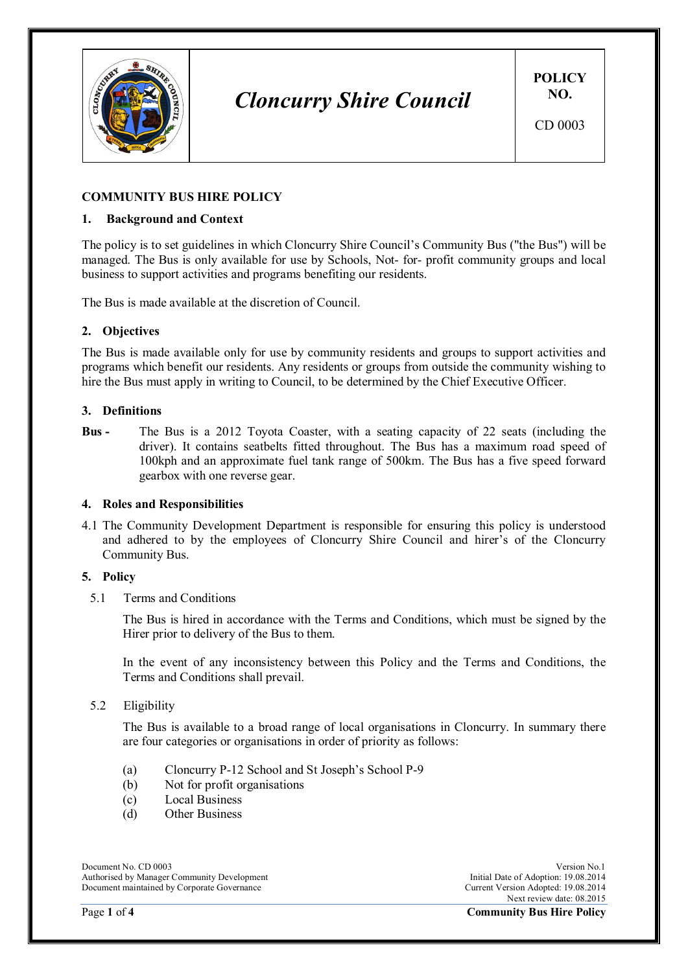

# *Cloncurry Shire Council*

# **COMMUNITY BUS HIRE POLICY**

#### **1. Background and Context**

The policy is to set guidelines in which Cloncurry Shire Council's Community Bus ("the Bus") will be managed. The Bus is only available for use by Schools, Not- for- profit community groups and local business to support activities and programs benefiting our residents.

The Bus is made available at the discretion of Council.

# **2. Objectives**

The Bus is made available only for use by community residents and groups to support activities and programs which benefit our residents. Any residents or groups from outside the community wishing to hire the Bus must apply in writing to Council, to be determined by the Chief Executive Officer.

## **3. Definitions**

**Bus -** The Bus is a 2012 Toyota Coaster, with a seating capacity of 22 seats (including the driver). It contains seatbelts fitted throughout. The Bus has a maximum road speed of 100kph and an approximate fuel tank range of 500km. The Bus has a five speed forward gearbox with one reverse gear.

# **4. Roles and Responsibilities**

4.1 The Community Development Department is responsible for ensuring this policy is understood and adhered to by the employees of Cloncurry Shire Council and hirer's of the Cloncurry Community Bus.

#### **5. Policy**

5.1 Terms and Conditions

The Bus is hired in accordance with the Terms and Conditions, which must be signed by the Hirer prior to delivery of the Bus to them.

In the event of any inconsistency between this Policy and the Terms and Conditions, the Terms and Conditions shall prevail.

# 5.2 Eligibility

The Bus is available to a broad range of local organisations in Cloncurry. In summary there are four categories or organisations in order of priority as follows:

- (a) Cloncurry P-12 School and St Joseph's School P-9
- (b) Not for profit organisations
- (c) Local Business
- (d) Other Business

Document No. CD 0003 Version No.1<br>
Authorised by Manager Community Development<br>
19.08.2014 Initial Date of Adoption: 19.08.2014 Authorised by Manager Community Development<br>
Document maintained by Corporate Governance<br>
Current Version Adopted: 19.08.2014 Document maintained by Corporate Governance

Next review date: 08.2015

Page **1** of **4 Community Bus Hire Policy**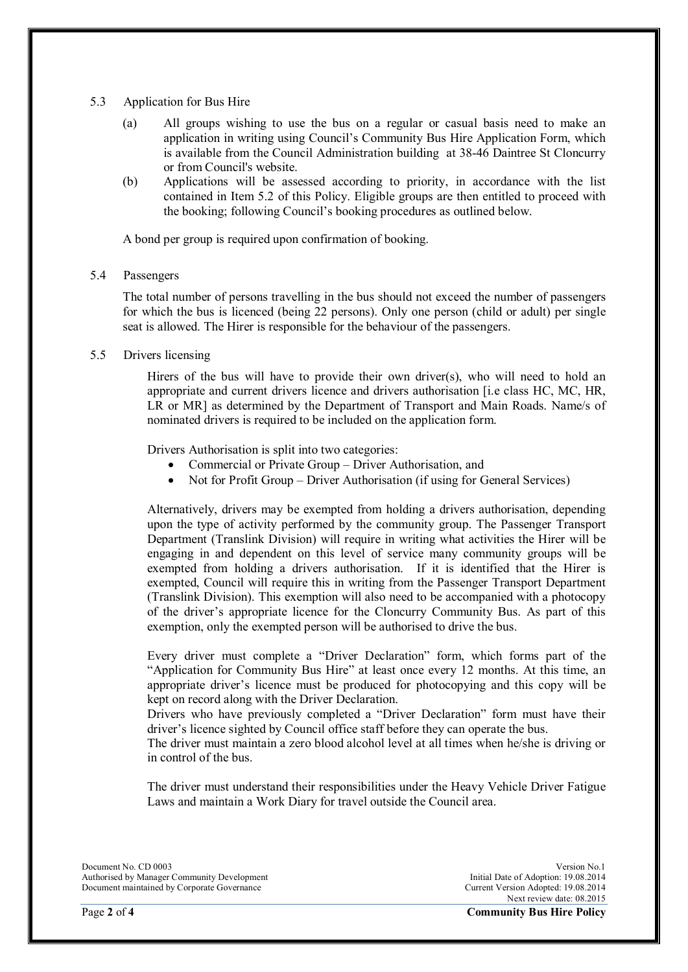#### 5.3 Application for Bus Hire

- (a) All groups wishing to use the bus on a regular or casual basis need to make an application in writing using Council's Community Bus Hire Application Form, which is available from the Council Administration building at 38-46 Daintree St Cloncurry or from Council's website.
- (b) Applications will be assessed according to priority, in accordance with the list contained in Item 5.2 of this Policy. Eligible groups are then entitled to proceed with the booking; following Council's booking procedures as outlined below.

A bond per group is required upon confirmation of booking.

#### 5.4 Passengers

The total number of persons travelling in the bus should not exceed the number of passengers for which the bus is licenced (being 22 persons). Only one person (child or adult) per single seat is allowed. The Hirer is responsible for the behaviour of the passengers.

5.5 Drivers licensing

Hirers of the bus will have to provide their own driver(s), who will need to hold an appropriate and current drivers licence and drivers authorisation [i.e class HC, MC, HR, LR or MR] as determined by the Department of Transport and Main Roads. Name/s of nominated drivers is required to be included on the application form.

Drivers Authorisation is split into two categories:

- Commercial or Private Group Driver Authorisation, and
- Not for Profit Group Driver Authorisation (if using for General Services)

Alternatively, drivers may be exempted from holding a drivers authorisation, depending upon the type of activity performed by the community group. The Passenger Transport Department (Translink Division) will require in writing what activities the Hirer will be engaging in and dependent on this level of service many community groups will be exempted from holding a drivers authorisation. If it is identified that the Hirer is exempted, Council will require this in writing from the Passenger Transport Department (Translink Division). This exemption will also need to be accompanied with a photocopy of the driver's appropriate licence for the Cloncurry Community Bus. As part of this exemption, only the exempted person will be authorised to drive the bus.

Every driver must complete a "Driver Declaration" form, which forms part of the "Application for Community Bus Hire" at least once every 12 months. At this time, an appropriate driver's licence must be produced for photocopying and this copy will be kept on record along with the Driver Declaration.

Drivers who have previously completed a "Driver Declaration" form must have their driver's licence sighted by Council office staff before they can operate the bus.

The driver must maintain a zero blood alcohol level at all times when he/she is driving or in control of the bus.

The driver must understand their responsibilities under the Heavy Vehicle Driver Fatigue Laws and maintain a Work Diary for travel outside the Council area.

Document No. CD 0003 Version No.1<br>
Authorised by Manager Community Development<br>
19.08.2014 Initial Date of Adoption: 19.08.2014 Authorised by Manager Community Development<br>
Document maintained by Corporate Governance<br>
Current Version Adopted: 19.08.2014 Document maintained by Corporate Governance

Next review date: 08.2015

Page **2** of **4 Community Bus Hire Policy**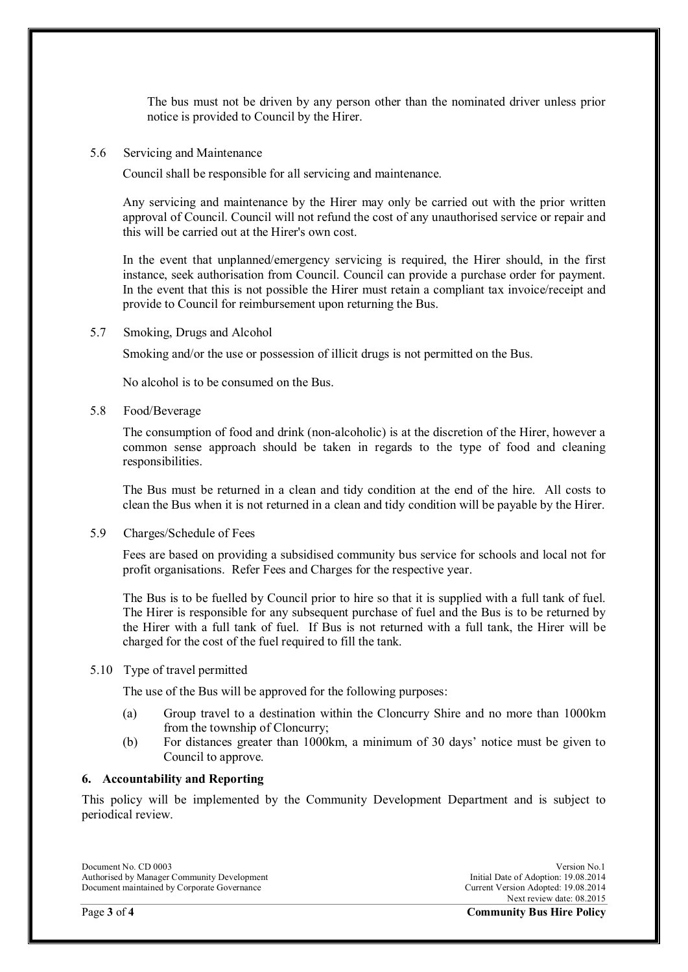The bus must not be driven by any person other than the nominated driver unless prior notice is provided to Council by the Hirer.

5.6 Servicing and Maintenance

Council shall be responsible for all servicing and maintenance.

Any servicing and maintenance by the Hirer may only be carried out with the prior written approval of Council. Council will not refund the cost of any unauthorised service or repair and this will be carried out at the Hirer's own cost.

In the event that unplanned/emergency servicing is required, the Hirer should, in the first instance, seek authorisation from Council. Council can provide a purchase order for payment. In the event that this is not possible the Hirer must retain a compliant tax invoice/receipt and provide to Council for reimbursement upon returning the Bus.

5.7 Smoking, Drugs and Alcohol

Smoking and/or the use or possession of illicit drugs is not permitted on the Bus.

No alcohol is to be consumed on the Bus.

5.8 Food/Beverage

The consumption of food and drink (non-alcoholic) is at the discretion of the Hirer, however a common sense approach should be taken in regards to the type of food and cleaning responsibilities.

The Bus must be returned in a clean and tidy condition at the end of the hire. All costs to clean the Bus when it is not returned in a clean and tidy condition will be payable by the Hirer.

5.9 Charges/Schedule of Fees

Fees are based on providing a subsidised community bus service for schools and local not for profit organisations. Refer Fees and Charges for the respective year.

The Bus is to be fuelled by Council prior to hire so that it is supplied with a full tank of fuel. The Hirer is responsible for any subsequent purchase of fuel and the Bus is to be returned by the Hirer with a full tank of fuel. If Bus is not returned with a full tank, the Hirer will be charged for the cost of the fuel required to fill the tank.

5.10 Type of travel permitted

The use of the Bus will be approved for the following purposes:

- (a) Group travel to a destination within the Cloncurry Shire and no more than 1000km from the township of Cloncurry;
- (b) For distances greater than 1000km, a minimum of 30 days' notice must be given to Council to approve.

#### **6. Accountability and Reporting**

This policy will be implemented by the Community Development Department and is subject to periodical review.

Document No. CD 0003 Version No.1<br>
Authorised by Manager Community Development<br>
19.08.2014 Initial Date of Adoption: 19.08.2014 Authorised by Manager Community Development<br>
Document maintained by Corporate Governance<br>
Current Version Adopted: 19.08.2014 Document maintained by Corporate Governance

Next review date: 08.2015

Page **3** of **4 Community Bus Hire Policy**